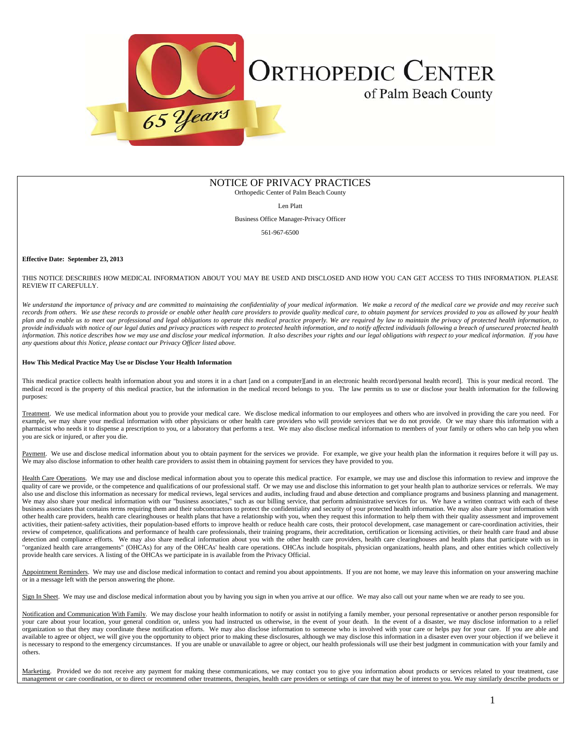

# NOTICE OF PRIVACY PRACTICES

Orthopedic Center of Palm Beach County

Len Platt

Business Office Manager-Privacy Officer

561-967-6500

## **Effective Date: September 23, 2013**

## THIS NOTICE DESCRIBES HOW MEDICAL INFORMATION ABOUT YOU MAY BE USED AND DISCLOSED AND HOW YOU CAN GET ACCESS TO THIS INFORMATION. PLEASE REVIEW IT CAREFULLY.

We understand the importance of privacy and are committed to maintaining the confidentiality of your medical information. We make a record of the medical care we provide and may receive such records from others. We use these records to provide or enable other health care providers to provide quality medical care, to obtain payment for services provided to you as allowed by your health *plan and to enable us to meet our professional and legal obligations to operate this medical practice properly. We are required by law to maintain the privacy of protected health information, to*  provide individuals with notice of our legal duties and privacy practices with respect to protected health information, and to notify affected individuals following a breach of unsecured protected health *information. This notice describes how we may use and disclose your medical information. It also describes your rights and our legal obligations with respect to your medical information. If you have any questions about this Notice, please contact our Privacy Officer listed above.* 

## **How This Medical Practice May Use or Disclose Your Health Information**

This medical practice collects health information about you and stores it in a chart [and on a computer][and in an electronic health record/personal health record]. This is your medical record. The medical record is the property of this medical practice, but the information in the medical record belongs to you. The law permits us to use or disclose your health information for the following purposes:

Treatment. We use medical information about you to provide your medical care. We disclose medical information to our employees and others who are involved in providing the care you need. For example, we may share your medical information with other physicians or other health care providers who will provide services that we do not provide. Or we may share this information with a pharmacist who needs it to dispense a prescription to you, or a laboratory that performs a test. We may also disclose medical information to members of your family or others who can help you when you are sick or injured, or after you die.

Payment. We use and disclose medical information about you to obtain payment for the services we provide. For example, we give your health plan the information it requires before it will pay us. We may also disclose information to other health care providers to assist them in obtaining payment for services they have provided to you.

Health Care Operations. We may use and disclose medical information about you to operate this medical practice. For example, we may use and disclose this information to review and improve the quality of care we provide, or the competence and qualifications of our professional staff. Or we may use and disclose this information to get your health plan to authorize services or referrals. We may also use and disclose this information as necessary for medical reviews, legal services and audits, including fraud and abuse detection and compliance programs and business planning and management. We may also share your medical information with our "business associates," such as our billing service, that perform administrative services for us. We have a written contract with each of these business associates that contains terms requiring them and their subcontractors to protect the confidentiality and security of your protected health information. We may also share your information with other health care providers, health care clearinghouses or health plans that have a relationship with you, when they request this information to help them with their quality assessment and improvement activities, their patient-safety activities, their population-based efforts to improve health or reduce health care costs, their protocol development, case management or care-coordination activities, their review of competence, qualifications and performance of health care professionals, their training programs, their accreditation, certification or licensing activities, or their health care fraud and abuse detection and compliance efforts. We may also share medical information about you with the other health care providers, health care clearinghouses and health plans that participate with us in "organized health care arrangements" (OHCAs) for any of the OHCAs' health care operations. OHCAs include hospitals, physician organizations, health plans, and other entities which collectively provide health care services. A listing of the OHCAs we participate in is available from the Privacy Official.

Appointment Reminders. We may use and disclose medical information to contact and remind you about appointments. If you are not home, we may leave this information on your answering machine or in a message left with the person answering the phone.

Sign In Sheet. We may use and disclose medical information about you by having you sign in when you arrive at our office. We may also call out your name when we are ready to see you.

Notification and Communication With Family. We may disclose your health information to notify or assist in notifying a family member, your personal representative or another person responsible for your care about your location, your general condition or, unless you had instructed us otherwise, in the event of your death. In the event of a disaster, we may disclose information to a relief organization so that they may coordinate these notification efforts. We may also disclose information to someone who is involved with your care or helps pay for your care. If you are able and available to agree or object, we will give you the opportunity to object prior to making these disclosures, although we may disclose this information in a disaster even over your objection if we believe it is necessary to respond to the emergency circumstances. If you are unable or unavailable to agree or object, our health professionals will use their best judgment in communication with your family and others.

Marketing. Provided we do not receive any payment for making these communications, we may contact you to give you information about products or services related to your treatment, case management or care coordination, or to direct or recommend other treatments, therapies, health care providers or settings of care that may be of interest to you. We may similarly describe products or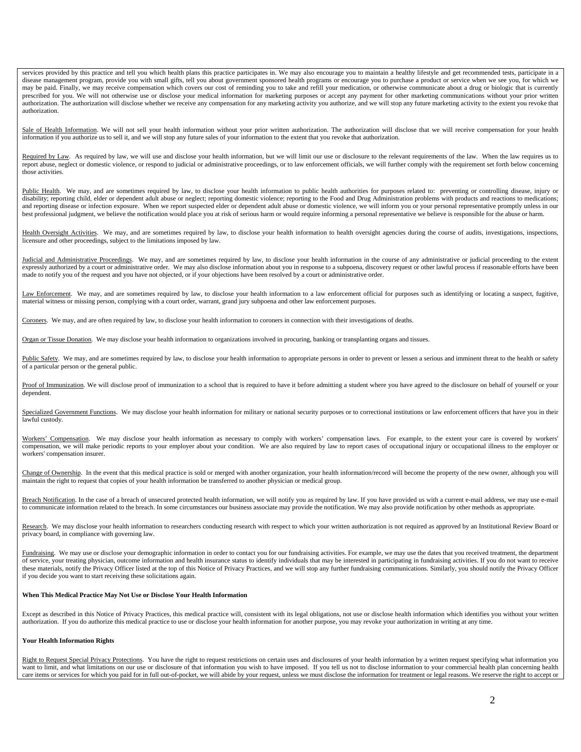services provided by this practice and tell you which health plans this practice participates in. We may also encourage you to maintain a healthy lifestyle and get recommended tests, participate in a disease management program, provide you with small gifts, tell you about government sponsored health programs or encourage you to purchase a product or service when we see you, for which we may be paid. Finally, we may receive compensation which covers our cost of reminding you to take and refill your medication, or otherwise communicate about a drug or biologic that is currently prescribed for you. We will not otherwise use or disclose your medical information for marketing purposes or accept any payment for other marketing communications without your prior written authorization. The authorization will disclose whether we receive any compensation for any marketing activity you authorize, and we will stop any future marketing activity to the extent you revoke that authorization.

Sale of Health Information. We will not sell your health information without your prior written authorization. The authorization will disclose that we will receive compensation for your health information if you authorize us to sell it, and we will stop any future sales of your information to the extent that you revoke that authorization.

Required by Law. As required by law, we will use and disclose your health information, but we will limit our use or disclosure to the relevant requirements of the law. When the law requires us to report abuse, neglect or domestic violence, or respond to judicial or administrative proceedings, or to law enforcement officials, we will further comply with the requirement set forth below concerning those activities.

Public Health. We may, and are sometimes required by law, to disclose your health information to public health authorities for purposes related to: preventing or controlling disease, injury or disability; reporting child, elder or dependent adult abuse or neglect; reporting domestic violence; reporting to the Food and Drug Administration problems with products and reactions to medications; and reporting disease or infection exposure. When we report suspected elder or dependent adult abuse or domestic violence, we will inform you or your personal representative promptly unless in our best professional judgment, we believe the notification would place you at risk of serious harm or would require informing a personal representative we believe is responsible for the abuse or harm.

Health Oversight Activities. We may, and are sometimes required by law, to disclose your health information to health oversight agencies during the course of audits, investigations, inspections, licensure and other proceedings, subject to the limitations imposed by law.

Judicial and Administrative Proceedings. We may, and are sometimes required by law, to disclose your health information in the course of any administrative or judicial proceeding to the extent expressly authorized by a court or administrative order. We may also disclose information about you in response to a subpoena, discovery request or other lawful process if reasonable efforts have been made to notify you of the request and you have not objected, or if your objections have been resolved by a court or administrative order.

Law Enforcement. We may, and are sometimes required by law, to disclose your health information to a law enforcement official for purposes such as identifying or locating a suspect, fugitive, material witness or missing person, complying with a court order, warrant, grand jury subpoena and other law enforcement purposes.

Coroners. We may, and are often required by law, to disclose your health information to coroners in connection with their investigations of deaths.

Organ or Tissue Donation. We may disclose your health information to organizations involved in procuring, banking or transplanting organs and tissues.

Public Safety. We may, and are sometimes required by law, to disclose your health information to appropriate persons in order to prevent or lessen a serious and imminent threat to the health or safety of a particular person or the general public.

Proof of Immunization. We will disclose proof of immunization to a school that is required to have it before admitting a student where you have agreed to the disclosure on behalf of yourself or your dependent.

Specialized Government Functions. We may disclose your health information for military or national security purposes or to correctional institutions or law enforcement officers that have you in their lawful custody.

Workers' Compensation. We may disclose your health information as necessary to comply with workers' compensation laws. For example, to the extent your care is covered by workers' compensation, we will make periodic reports to your employer about your condition. We are also required by law to report cases of occupational injury or occupational illness to the employer or workers' compensation insurer.

Change of Ownership. In the event that this medical practice is sold or merged with another organization, your health information/record will become the property of the new owner, although you will maintain the right to request that copies of your health information be transferred to another physician or medical group.

Breach Notification. In the case of a breach of unsecured protected health information, we will notify you as required by law. If you have provided us with a current e-mail address, we may use e-mail to communicate information related to the breach. In some circumstances our business associate may provide the notification. We may also provide notification by other methods as appropriate.

Research. We may disclose your health information to researchers conducting research with respect to which your written authorization is not required as approved by an Institutional Review Board or privacy board, in compliance with governing law.

Fundraising. We may use or disclose your demographic information in order to contact you for our fundraising activities. For example, we may use the dates that you received treatment, the department of service, your treating physician, outcome information and health insurance status to identify individuals that may be interested in participating in fundraising activities. If you do not want to receive these materials, notify the Privacy Officer listed at the top of this Notice of Privacy Practices, and we will stop any further fundraising communications. Similarly, you should notify the Privacy Officer if you decide you want to start receiving these solicitations again.

## **When This Medical Practice May Not Use or Disclose Your Health Information**

Except as described in this Notice of Privacy Practices, this medical practice will, consistent with its legal obligations, not use or disclose health information which identifies you without your written authorization. If you do authorize this medical practice to use or disclose your health information for another purpose, you may revoke your authorization in writing at any time.

## **Your Health Information Rights**

Right to Request Special Privacy Protections. You have the right to request restrictions on certain uses and disclosures of your health information by a written request specifying what information you want to limit, and what limitations on our use or disclosure of that information you wish to have imposed. If you tell us not to disclose information to your commercial health plan concerning health care items or services for which you paid for in full out-of-pocket, we will abide by your request, unless we must disclose the information for treatment or legal reasons. We reserve the right to accept or